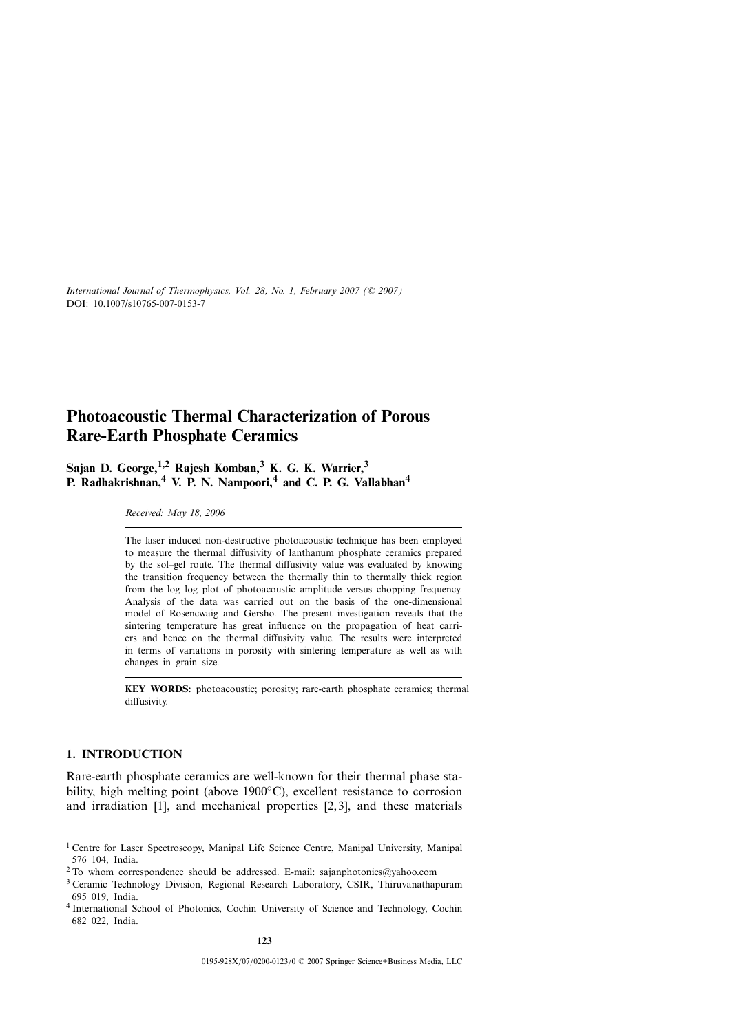# **Photoacoustic Thermal Characterization of Porous Rare-Earth Phosphate Ceramics**

**Sajan D. George,1,2 Rajesh Komban,<sup>3</sup> K. G. K. Warrier,<sup>3</sup> P. Radhakrishnan,<sup>4</sup> V. P. N. Nampoori,<sup>4</sup> and C. P. G. Vallabhan<sup>4</sup>**

*Received: May 18, 2006*

The laser induced non-destructive photoacoustic technique has been employed to measure the thermal diffusivity of lanthanum phosphate ceramics prepared by the sol–gel route. The thermal diffusivity value was evaluated by knowing the transition frequency between the thermally thin to thermally thick region from the log–log plot of photoacoustic amplitude versus chopping frequency. Analysis of the data was carried out on the basis of the one-dimensional model of Rosencwaig and Gersho. The present investigation reveals that the sintering temperature has great influence on the propagation of heat carriers and hence on the thermal diffusivity value. The results were interpreted in terms of variations in porosity with sintering temperature as well as with changes in grain size.

**KEY WORDS:** photoacoustic; porosity; rare-earth phosphate ceramics; thermal diffusivity.

# **1. INTRODUCTION**

Rare-earth phosphate ceramics are well-known for their thermal phase stability, high melting point (above 1900◦C), excellent resistance to corrosion and irradiation [1], and mechanical properties [2, 3], and these materials

<sup>1</sup> Centre for Laser Spectroscopy, Manipal Life Science Centre, Manipal University, Manipal 576 104, India.

 $2$  To whom correspondence should be addressed. E-mail: sajanphotonics@yahoo.com

<sup>3</sup> Ceramic Technology Division, Regional Research Laboratory, CSIR, Thiruvanathapuram 695 019, India.

<sup>4</sup> International School of Photonics, Cochin University of Science and Technology, Cochin 682 022, India.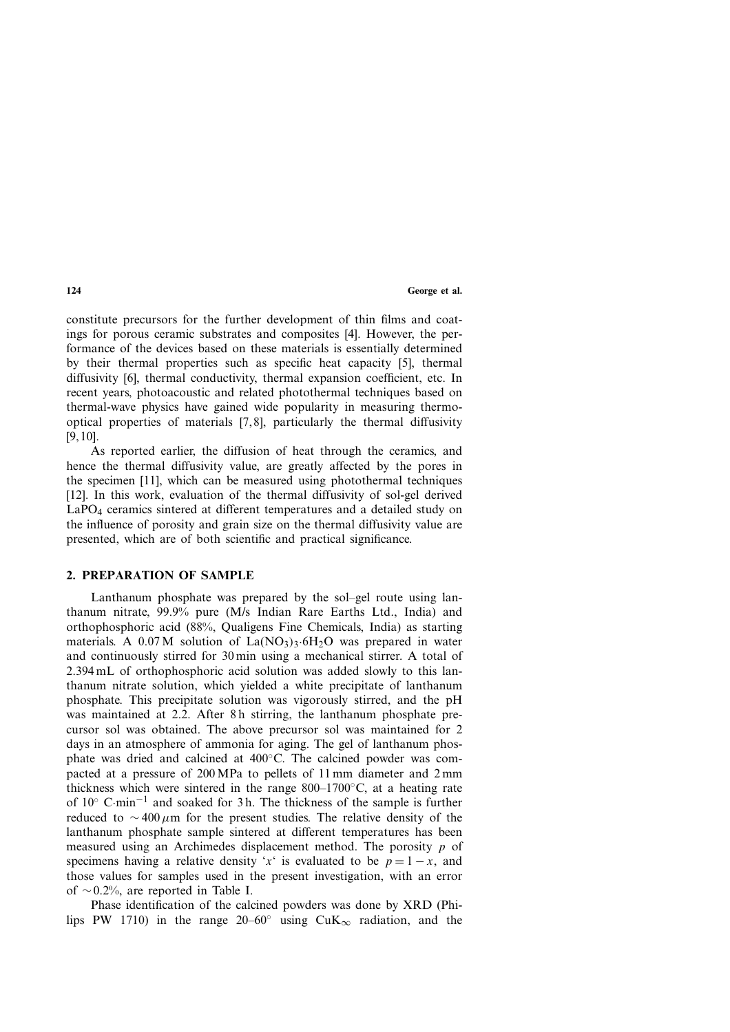constitute precursors for the further development of thin films and coatings for porous ceramic substrates and composites [4]. However, the performance of the devices based on these materials is essentially determined by their thermal properties such as specific heat capacity [5], thermal diffusivity [6], thermal conductivity, thermal expansion coefficient, etc. In recent years, photoacoustic and related photothermal techniques based on thermal-wave physics have gained wide popularity in measuring thermooptical properties of materials [7, 8], particularly the thermal diffusivity [9, 10].

As reported earlier, the diffusion of heat through the ceramics, and hence the thermal diffusivity value, are greatly affected by the pores in the specimen [11], which can be measured using photothermal techniques [12]. In this work, evaluation of the thermal diffusivity of sol-gel derived LaPO4 ceramics sintered at different temperatures and a detailed study on the influence of porosity and grain size on the thermal diffusivity value are presented, which are of both scientific and practical significance.

# **2. PREPARATION OF SAMPLE**

Lanthanum phosphate was prepared by the sol–gel route using lanthanum nitrate, 99.9% pure (M/s Indian Rare Earths Ltd., India) and orthophosphoric acid (88%, Qualigens Fine Chemicals, India) as starting materials. A 0.07 M solution of  $La(NO<sub>3</sub>)<sub>3</sub>·6H<sub>2</sub>O$  was prepared in water and continuously stirred for 30 min using a mechanical stirrer. A total of 2.394 mL of orthophosphoric acid solution was added slowly to this lanthanum nitrate solution, which yielded a white precipitate of lanthanum phosphate. This precipitate solution was vigorously stirred, and the pH was maintained at 2.2. After 8h stirring, the lanthanum phosphate precursor sol was obtained. The above precursor sol was maintained for 2 days in an atmosphere of ammonia for aging. The gel of lanthanum phosphate was dried and calcined at 400◦C. The calcined powder was compacted at a pressure of 200 MPa to pellets of 11 mm diameter and 2 mm thickness which were sintered in the range  $800-1700\degree C$ , at a heating rate of 10◦ <sup>C</sup>·min−<sup>1</sup> and soaked for 3 h. The thickness of the sample is further reduced to <sup>∼</sup> <sup>400</sup>*μ*m for the present studies. The relative density of the lanthanum phosphate sample sintered at different temperatures has been measured using an Archimedes displacement method. The porosity *p* of specimens having a relative density '*x*' is evaluated to be  $p = 1 - x$ , and those values for samples used in the present investigation, with an error of <sup>∼</sup>0*.*2%, are reported in Table I.

Phase identification of the calcined powders was done by XRD (Philips PW 1710) in the range 20–60° using CuK<sub>∞</sub> radiation, and the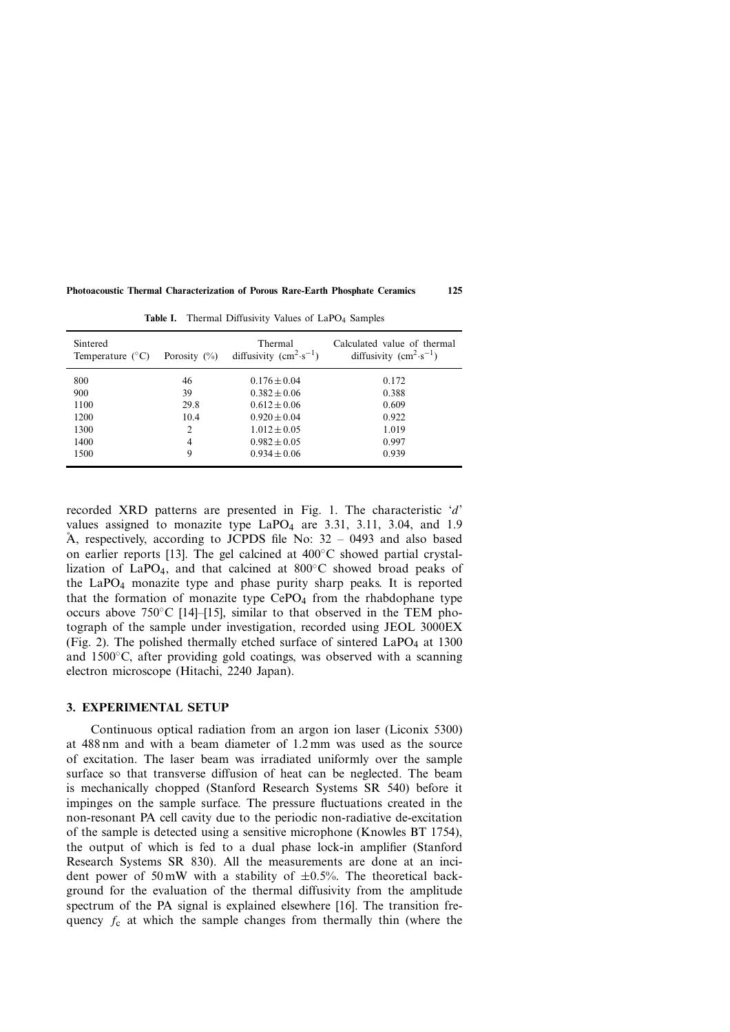| Sintered<br>Temperature $(^{\circ}C)$ | Porosity $(\% )$ | Thermal<br>diffusivity $(cm^2 \cdot s^{-1})$ | Calculated value of thermal<br>diffusivity $(cm^2 \cdot s^{-1})$ |
|---------------------------------------|------------------|----------------------------------------------|------------------------------------------------------------------|
| 800                                   | 46               | $0.176 \pm 0.04$                             | 0.172                                                            |
| 900                                   | 39               | $0.382 \pm 0.06$                             | 0.388                                                            |
| 1100                                  | 29.8             | $0.612 \pm 0.06$                             | 0.609                                                            |
| 1200                                  | 10.4             | $0.920 \pm 0.04$                             | 0.922                                                            |
| 1300                                  | $\overline{c}$   | $1.012 \pm 0.05$                             | 1.019                                                            |
| 1400                                  | 4                | $0.982 \pm 0.05$                             | 0.997                                                            |
| 1500                                  | 9                | $0.934 \pm 0.06$                             | 0.939                                                            |

Table I. Thermal Diffusivity Values of LaPO<sub>4</sub> Samples

recorded XRD patterns are presented in Fig. 1. The characteristic '*d*' values assigned to monazite type  $LaPO<sub>4</sub>$  are 3.31, 3.11, 3.04, and 1.9 Å, respectively, according to JCPDS file No: 32 - 0493 and also based on earlier reports [13]. The gel calcined at  $400^{\circ}$ C showed partial crystallization of LaPO<sub>4</sub>, and that calcined at  $800^{\circ}$ C showed broad peaks of the LaPO4 monazite type and phase purity sharp peaks. It is reported that the formation of monazite type  $CePO<sub>4</sub>$  from the rhabdophane type occurs above 750◦C [14]–[15], similar to that observed in the TEM photograph of the sample under investigation, recorded using JEOL 3000EX (Fig. 2). The polished thermally etched surface of sintered  $LaPO<sub>4</sub>$  at 1300 and  $1500\degree$ C, after providing gold coatings, was observed with a scanning electron microscope (Hitachi, 2240 Japan).

# **3. EXPERIMENTAL SETUP**

Continuous optical radiation from an argon ion laser (Liconix 5300) at 488 nm and with a beam diameter of 1.2 mm was used as the source of excitation. The laser beam was irradiated uniformly over the sample surface so that transverse diffusion of heat can be neglected. The beam is mechanically chopped (Stanford Research Systems SR 540) before it impinges on the sample surface. The pressure fluctuations created in the non-resonant PA cell cavity due to the periodic non-radiative de-excitation of the sample is detected using a sensitive microphone (Knowles BT 1754), the output of which is fed to a dual phase lock-in amplifier (Stanford Research Systems SR 830). All the measurements are done at an incident power of 50 mW with a stability of  $\pm 0.5$ %. The theoretical background for the evaluation of the thermal diffusivity from the amplitude spectrum of the PA signal is explained elsewhere [16]. The transition frequency  $f_c$  at which the sample changes from thermally thin (where the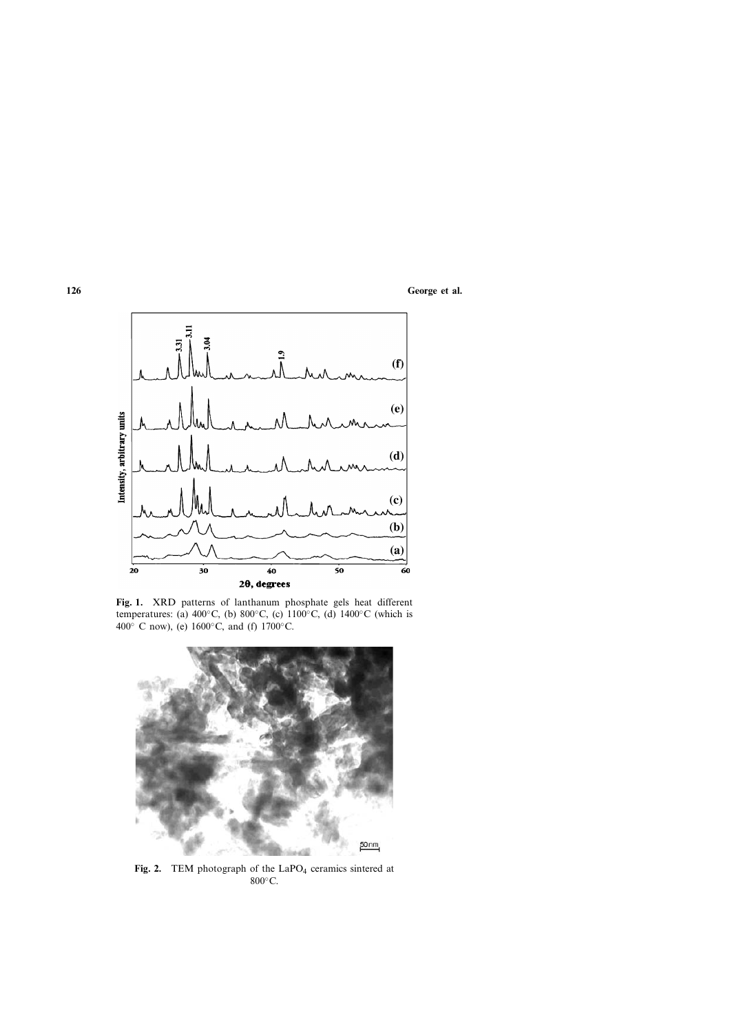

**Fig. 1.** XRD patterns of lanthanum phosphate gels heat different temperatures: (a) 400◦C, (b) 800◦C, (c) 1100◦C, (d) 1400◦C (which is 400◦ C now), (e) 1600◦C, and (f) 1700◦C.



Fig. 2. TEM photograph of the LaPO<sub>4</sub> ceramics sintered at 800°C.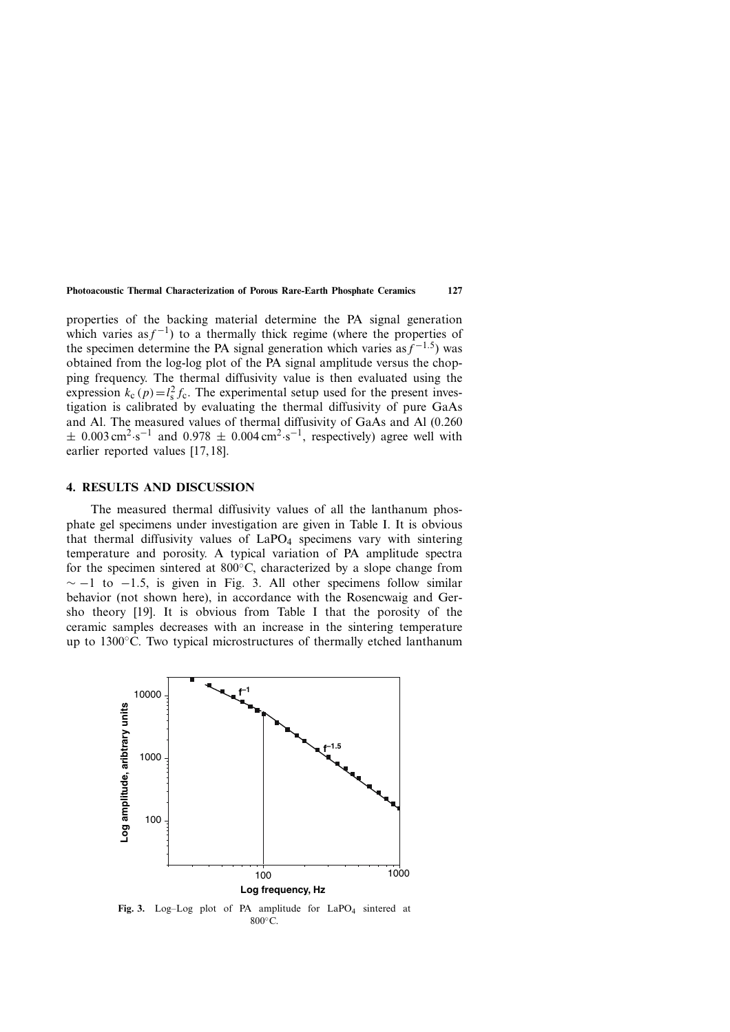properties of the backing material determine the PA signal generation which varies as  $f^{-1}$ ) to a thermally thick regime (where the properties of the specimen determine the PA signal generation which varies as  $f^{-1.5}$ ) was obtained from the log-log plot of the PA signal amplitude versus the chopping frequency. The thermal diffusivity value is then evaluated using the expression  $k_c(p) = l_s^2 f_c$ . The experimental setup used for the present investigation is calibrated by evaluating the thermal diffusivity of pure GaAs and Al. The measured values of thermal diffusivity of GaAs and Al (0.260  $\pm$  0.003 cm<sup>2</sup>·s<sup>-1</sup> and 0.978  $\pm$  0.004 cm<sup>2</sup>·s<sup>-1</sup>, respectively) agree well with earlier reported values [17, 18].

### **4. RESULTS AND DISCUSSION**

The measured thermal diffusivity values of all the lanthanum phosphate gel specimens under investigation are given in Table I. It is obvious that thermal diffusivity values of  $LaPO<sub>4</sub>$  specimens vary with sintering temperature and porosity. A typical variation of PA amplitude spectra for the specimen sintered at  $800^{\circ}$ C, characterized by a slope change from  $\sim$  −1 to −1.5, is given in Fig. 3. All other specimens follow similar behavior (not shown here), in accordance with the Rosencwaig and Gersho theory [19]. It is obvious from Table I that the porosity of the ceramic samples decreases with an increase in the sintering temperature up to 1300◦C. Two typical microstructures of thermally etched lanthanum



Fig. 3. Log-Log plot of PA amplitude for LaPO<sub>4</sub> sintered at 800°C.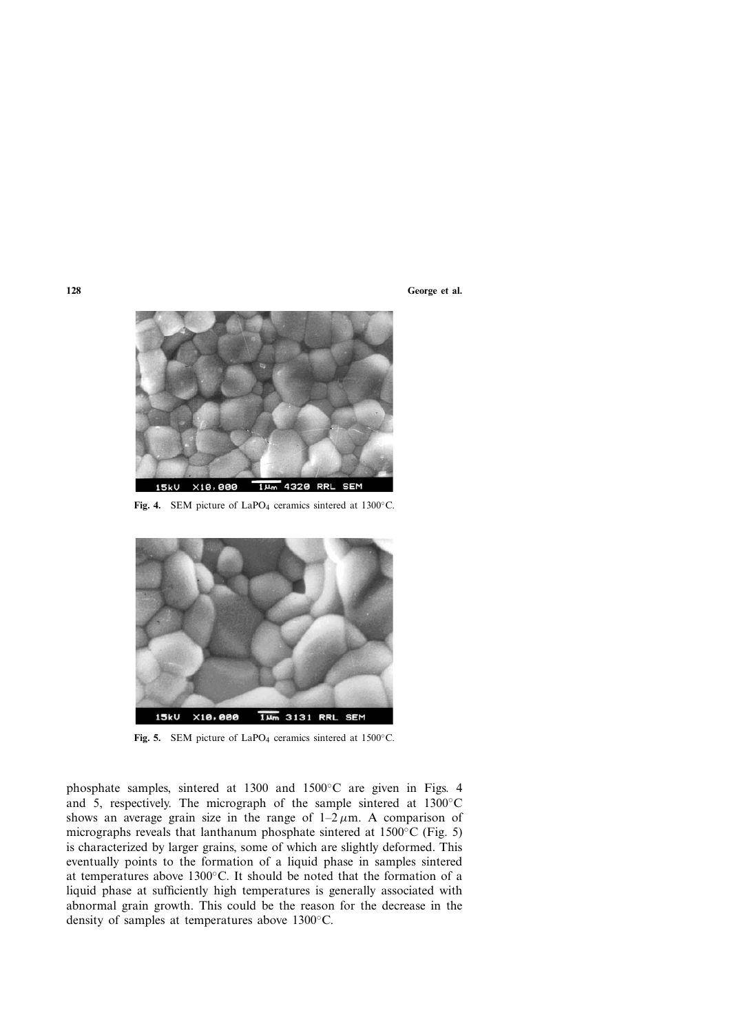

Fig. 4. SEM picture of LaPO<sub>4</sub> ceramics sintered at 1300°C.



Fig. 5. SEM picture of LaPO<sub>4</sub> ceramics sintered at 1500°C.

phosphate samples, sintered at 1300 and 1500◦C are given in Figs. 4 and 5, respectively. The micrograph of the sample sintered at 1300◦C shows an average grain size in the range of  $1-2 \mu m$ . A comparison of micrographs reveals that lanthanum phosphate sintered at 1500◦C (Fig. 5) is characterized by larger grains, some of which are slightly deformed. This eventually points to the formation of a liquid phase in samples sintered at temperatures above 1300◦C. It should be noted that the formation of a liquid phase at sufficiently high temperatures is generally associated with abnormal grain growth. This could be the reason for the decrease in the density of samples at temperatures above 1300◦C.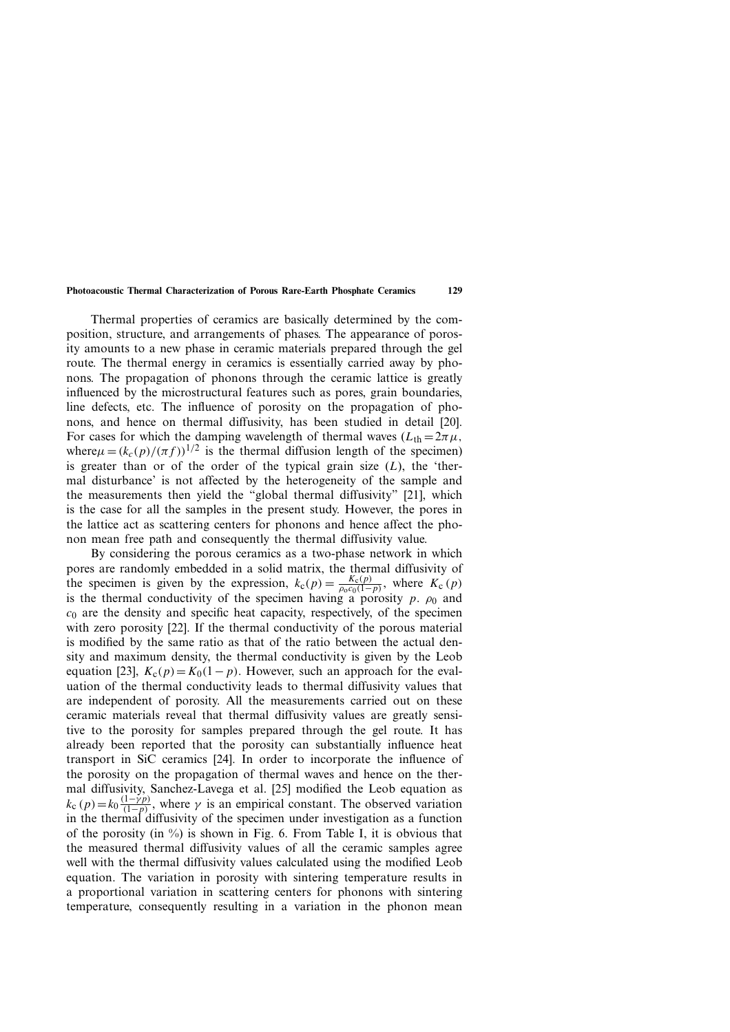Thermal properties of ceramics are basically determined by the composition, structure, and arrangements of phases. The appearance of porosity amounts to a new phase in ceramic materials prepared through the gel route. The thermal energy in ceramics is essentially carried away by phonons. The propagation of phonons through the ceramic lattice is greatly influenced by the microstructural features such as pores, grain boundaries, line defects, etc. The influence of porosity on the propagation of phonons, and hence on thermal diffusivity, has been studied in detail [20]. For cases for which the damping wavelength of thermal waves  $(L_{th} = 2\pi \mu)$ , where $\mu = (k_c(p)/(\pi f))^{1/2}$  is the thermal diffusion length of the specimen) is greater than or of the order of the typical grain size  $(L)$ , the 'thermal disturbance' is not affected by the heterogeneity of the sample and the measurements then yield the "global thermal diffusivity" [21], which is the case for all the samples in the present study. However, the pores in the lattice act as scattering centers for phonons and hence affect the phonon mean free path and consequently the thermal diffusivity value.

By considering the porous ceramics as a two-phase network in which pores are randomly embedded in a solid matrix, the thermal diffusivity of the specimen is given by the expression,  $k_c(p) = \frac{K_c(p)}{\rho_0 c_0(1-p)}$ , where  $K_c(p)$ is the thermal conductivity of the specimen having a porosity  $p$ .  $\rho_0$  and  $c<sub>0</sub>$  are the density and specific heat capacity, respectively, of the specimen with zero porosity [22]. If the thermal conductivity of the porous material is modified by the same ratio as that of the ratio between the actual density and maximum density, the thermal conductivity is given by the Leob equation [23],  $K_c(p) = K_0(1-p)$ . However, such an approach for the evaluation of the thermal conductivity leads to thermal diffusivity values that are independent of porosity. All the measurements carried out on these ceramic materials reveal that thermal diffusivity values are greatly sensitive to the porosity for samples prepared through the gel route. It has already been reported that the porosity can substantially influence heat transport in SiC ceramics [24]. In order to incorporate the influence of the porosity on the propagation of thermal waves and hence on the thermal diffusivity, Sanchez-Lavega et al. [25] modified the Leob equation as  $k_c$   $(p) = k_0 \frac{(1 - \gamma p)}{(1 - p)}$ , where  $\gamma$  is an empirical constant. The observed variation in the thermal diffusivity of the specimen under investigation as a function of the porosity (in  $\%$ ) is shown in Fig. 6. From Table I, it is obvious that the measured thermal diffusivity values of all the ceramic samples agree well with the thermal diffusivity values calculated using the modified Leob equation. The variation in porosity with sintering temperature results in a proportional variation in scattering centers for phonons with sintering temperature, consequently resulting in a variation in the phonon mean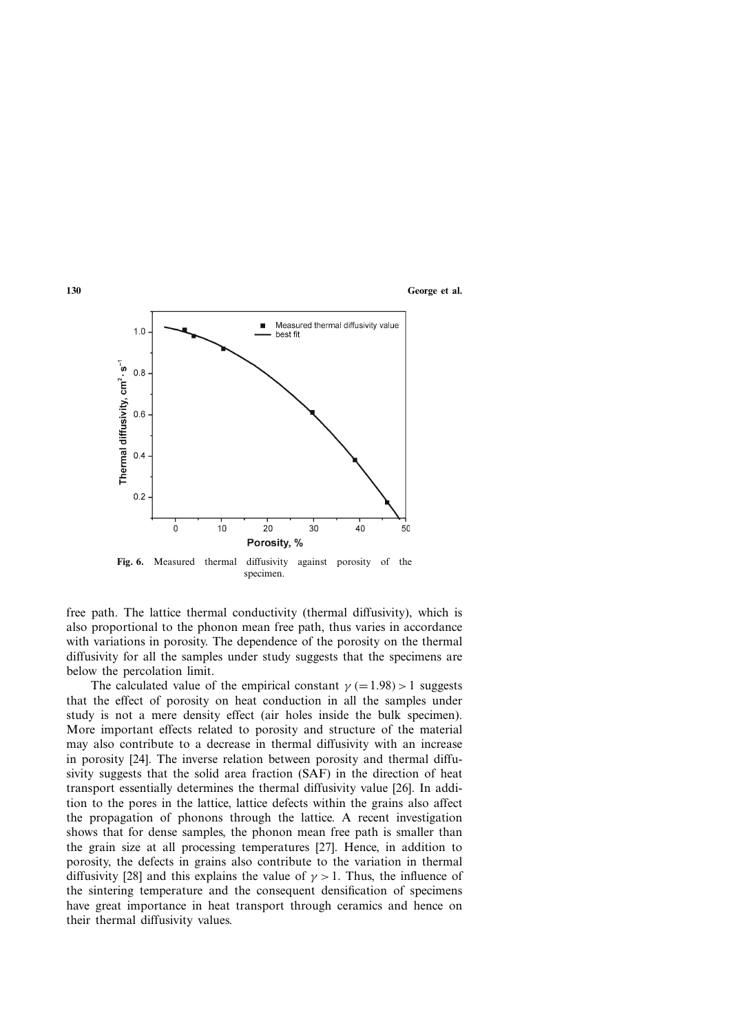

**Fig. 6.** Measured thermal diffusivity against porosity of the specimen.

free path. The lattice thermal conductivity (thermal diffusivity), which is also proportional to the phonon mean free path, thus varies in accordance with variations in porosity. The dependence of the porosity on the thermal diffusivity for all the samples under study suggests that the specimens are below the percolation limit.

The calculated value of the empirical constant  $\gamma$  (=1.98) > 1 suggests that the effect of porosity on heat conduction in all the samples under study is not a mere density effect (air holes inside the bulk specimen). More important effects related to porosity and structure of the material may also contribute to a decrease in thermal diffusivity with an increase in porosity [24]. The inverse relation between porosity and thermal diffusivity suggests that the solid area fraction (SAF) in the direction of heat transport essentially determines the thermal diffusivity value [26]. In addition to the pores in the lattice, lattice defects within the grains also affect the propagation of phonons through the lattice. A recent investigation shows that for dense samples, the phonon mean free path is smaller than the grain size at all processing temperatures [27]. Hence, in addition to porosity, the defects in grains also contribute to the variation in thermal diffusivity [28] and this explains the value of  $\gamma > 1$ . Thus, the influence of the sintering temperature and the consequent densification of specimens have great importance in heat transport through ceramics and hence on their thermal diffusivity values.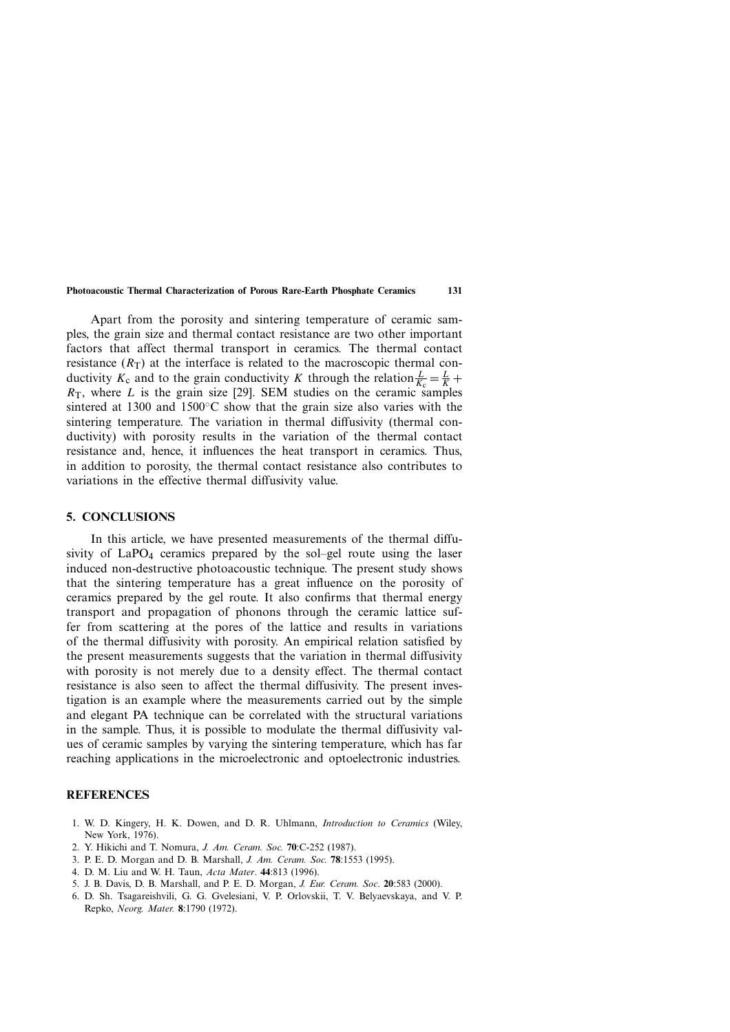Apart from the porosity and sintering temperature of ceramic samples, the grain size and thermal contact resistance are two other important factors that affect thermal transport in ceramics. The thermal contact resistance  $(R<sub>T</sub>)$  at the interface is related to the macroscopic thermal conductivity  $K_c$  and to the grain conductivity *K* through the relation  $\frac{L}{K_c} = \frac{L}{K} +$  $R<sub>T</sub>$ , where *L* is the grain size [29]. SEM studies on the ceramic samples sintered at 1300 and 1500 $\degree$ C show that the grain size also varies with the sintering temperature. The variation in thermal diffusivity (thermal conductivity) with porosity results in the variation of the thermal contact resistance and, hence, it influences the heat transport in ceramics. Thus, in addition to porosity, the thermal contact resistance also contributes to variations in the effective thermal diffusivity value.

# **5. CONCLUSIONS**

In this article, we have presented measurements of the thermal diffusivity of  $LaPO<sub>4</sub>$  ceramics prepared by the sol–gel route using the laser induced non-destructive photoacoustic technique. The present study shows that the sintering temperature has a great influence on the porosity of ceramics prepared by the gel route. It also confirms that thermal energy transport and propagation of phonons through the ceramic lattice suffer from scattering at the pores of the lattice and results in variations of the thermal diffusivity with porosity. An empirical relation satisfied by the present measurements suggests that the variation in thermal diffusivity with porosity is not merely due to a density effect. The thermal contact resistance is also seen to affect the thermal diffusivity. The present investigation is an example where the measurements carried out by the simple and elegant PA technique can be correlated with the structural variations in the sample. Thus, it is possible to modulate the thermal diffusivity values of ceramic samples by varying the sintering temperature, which has far reaching applications in the microelectronic and optoelectronic industries.

### **REFERENCES**

- 1. W. D. Kingery, H. K. Dowen, and D. R. Uhlmann, *Introduction to Ceramics* (Wiley, New York, 1976).
- 2. Y. Hikichi and T. Nomura, *J. Am. Ceram. Soc.* **70**:C-252 (1987).
- 3. P. E. D. Morgan and D. B. Marshall, *J. Am. Ceram. Soc.* **78**:1553 (1995).
- 4. D. M. Liu and W. H. Taun, *Acta Mater*. **44**:813 (1996).
- 5. J. B. Davis, D. B. Marshall, and P. E. D. Morgan, *J. Eur. Ceram. Soc*. **20**:583 (2000).
- 6. D. Sh. Tsagareishvili, G. G. Gvelesiani, V. P. Orlovskii, T. V. Belyaevskaya, and V. P. Repko, *Neorg. Mater.* **8**:1790 (1972).